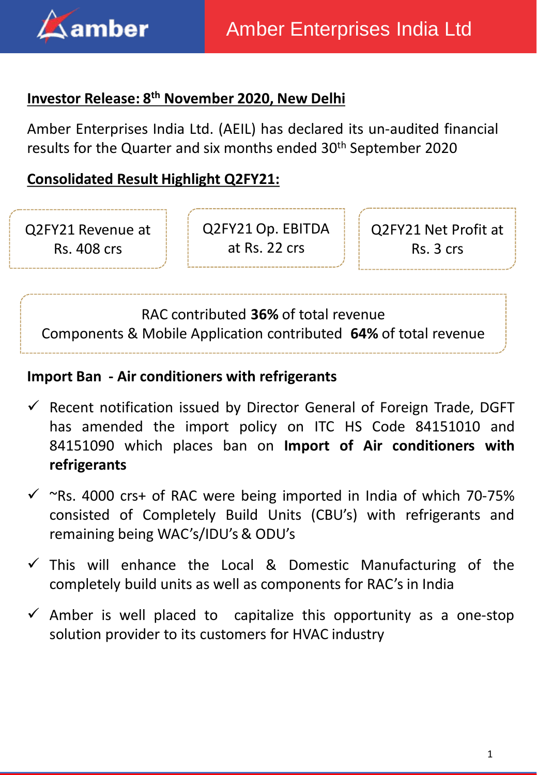

## **Investor Release: 8 th November 2020, New Delhi**

Amber Enterprises India Ltd. (AEIL) has declared its un-audited financial results for the Quarter and six months ended 30<sup>th</sup> September 2020

# **Consolidated Result Highlight Q2FY21:**

Q2FY21 Revenue at Rs. 408 crs

Q2FY21 Op. EBITDA at Rs. 22 crs

Q2FY21 Net Profit at Rs. 3 crs

RAC contributed **36%** of total revenue Components & Mobile Application contributed **64%** of total revenue

### **Import Ban - Air conditioners with refrigerants**

- $\checkmark$  Recent notification issued by Director General of Foreign Trade, DGFT has amended the import policy on ITC HS Code 84151010 and 84151090 which places ban on **Import of Air conditioners with refrigerants**
- $\checkmark$  ~Rs. 4000 crs+ of RAC were being imported in India of which 70-75% consisted of Completely Build Units (CBU's) with refrigerants and remaining being WAC's/IDU's& ODU's
- $\checkmark$  This will enhance the Local & Domestic Manufacturing of the completely build units as well as components for RAC's in India
- $\checkmark$  Amber is well placed to capitalize this opportunity as a one-stop solution provider to its customers for HVAC industry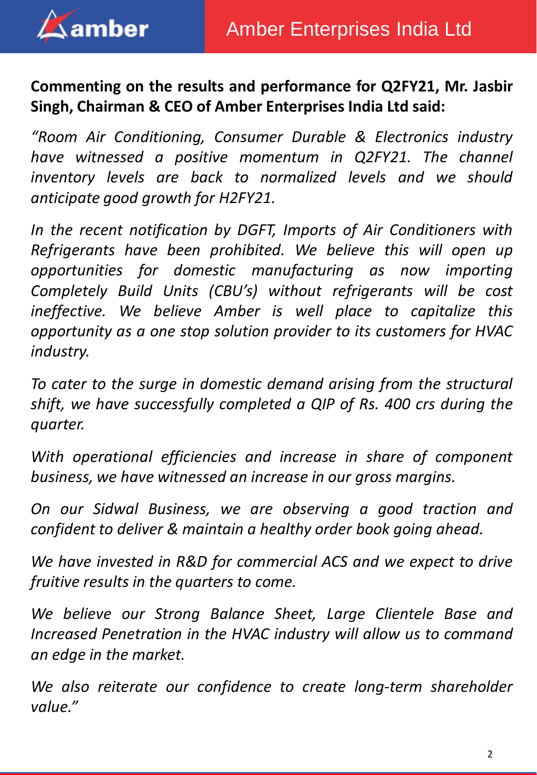

# **Commenting on the results and performance for Q2FY21, Mr. Jasbir Singh, Chairman & CEO of Amber Enterprises India Ltd said:**

*"Room Air Conditioning, Consumer Durable & Electronics industry have witnessed a positive momentum in Q2FY21. The channel inventory levels are back to normalized levels and we should anticipate good growth for H2FY21.*

*In the recent notification by DGFT, Imports of Air Conditioners with Refrigerants have been prohibited. We believe this will open up opportunities for domestic manufacturing as now importing Completely Build Units (CBU's) without refrigerants will be cost ineffective. We believe Amber is well place to capitalize this opportunity as a one stop solution provider to its customers for HVAC industry.*

*To cater to the surge in domestic demand arising from the structural shift, we have successfully completed a QIP of Rs. 400 crs during the quarter.*

*With operational efficiencies and increase in share of component business, we have witnessed an increase in our gross margins.*

*On our Sidwal Business, we are observing a good traction and confident to deliver & maintain a healthy order book going ahead.*

*We have invested in R&D for commercial ACS and we expect to drive fruitive results in the quarters to come.*

*We believe our Strong Balance Sheet, Large Clientele Base and Increased Penetration in the HVAC industry will allow us to command an edge in the market.*

*We also reiterate our confidence to create long-term shareholder value."*